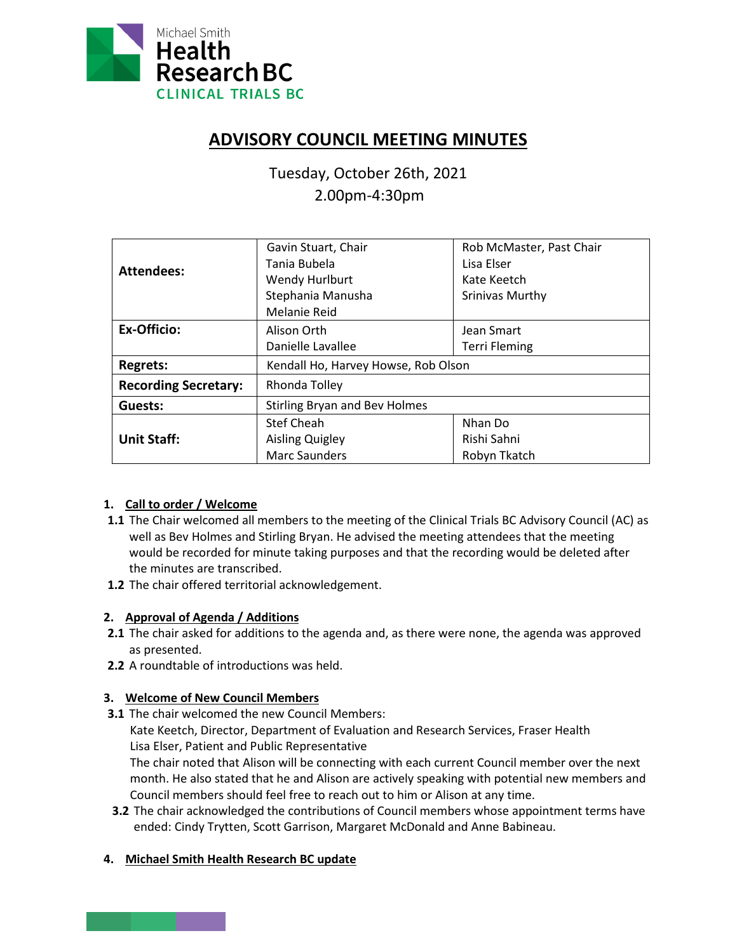

# **ADVISORY COUNCIL MEETING MINUTES**

Tuesday, October 26th, 2021 2.00pm-4:30pm

| <b>Attendees:</b>           | Gavin Stuart, Chair                  | Rob McMaster, Past Chair |
|-----------------------------|--------------------------------------|--------------------------|
|                             | Tania Bubela                         | Lisa Elser               |
|                             | Wendy Hurlburt                       | Kate Keetch              |
|                             | Stephania Manusha                    | Srinivas Murthy          |
|                             | Melanie Reid                         |                          |
| Ex-Officio:                 | Alison Orth                          | Jean Smart               |
|                             | Danielle Lavallee                    | <b>Terri Fleming</b>     |
| <b>Regrets:</b>             | Kendall Ho, Harvey Howse, Rob Olson  |                          |
| <b>Recording Secretary:</b> | Rhonda Tolley                        |                          |
| Guests:                     | <b>Stirling Bryan and Bev Holmes</b> |                          |
|                             | <b>Stef Cheah</b>                    | Nhan Do                  |
| <b>Unit Staff:</b>          | Aisling Quigley                      | Rishi Sahni              |
|                             | <b>Marc Saunders</b>                 | Robyn Tkatch             |

# **1. Call to order / Welcome**

- **1.1** The Chair welcomed all members to the meeting of the Clinical Trials BC Advisory Council (AC) as well as Bev Holmes and Stirling Bryan. He advised the meeting attendees that the meeting would be recorded for minute taking purposes and that the recording would be deleted after the minutes are transcribed.
- **1.2** The chair offered territorial acknowledgement.

# **2. Approval of Agenda / Additions**

- **2.1** The chair asked for additions to the agenda and, as there were none, the agenda was approved as presented.
- **2.2** A roundtable of introductions was held.

# **3. Welcome of New Council Members**

- **3.1** The chair welcomed the new Council Members:
	- Kate Keetch, Director, Department of Evaluation and Research Services, Fraser Health Lisa Elser, Patient and Public Representative

The chair noted that Alison will be connecting with each current Council member over the next month. He also stated that he and Alison are actively speaking with potential new members and Council members should feel free to reach out to him or Alison at any time.

**3.2** The chair acknowledged the contributions of Council members whose appointment terms have ended: Cindy Trytten, Scott Garrison, Margaret McDonald and Anne Babineau.

# **4. Michael Smith Health Research BC update**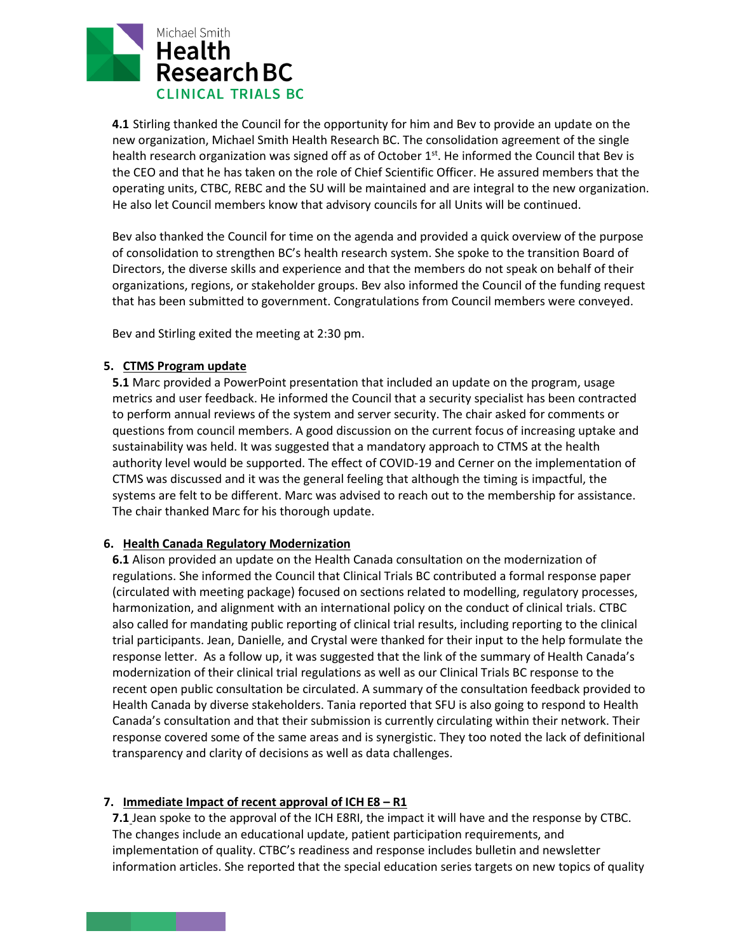

**4.1** Stirling thanked the Council for the opportunity for him and Bev to provide an update on the new organization, Michael Smith Health Research BC. The consolidation agreement of the single health research organization was signed off as of October  $1<sup>st</sup>$ . He informed the Council that Bev is the CEO and that he has taken on the role of Chief Scientific Officer. He assured members that the operating units, CTBC, REBC and the SU will be maintained and are integral to the new organization. He also let Council members know that advisory councils for all Units will be continued.

Bev also thanked the Council for time on the agenda and provided a quick overview of the purpose of consolidation to strengthen BC's health research system. She spoke to the transition Board of Directors, the diverse skills and experience and that the members do not speak on behalf of their organizations, regions, or stakeholder groups. Bev also informed the Council of the funding request that has been submitted to government. Congratulations from Council members were conveyed.

Bev and Stirling exited the meeting at 2:30 pm.

#### **5. CTMS Program update**

**5.1** Marc provided a PowerPoint presentation that included an update on the program, usage metrics and user feedback. He informed the Council that a security specialist has been contracted to perform annual reviews of the system and server security. The chair asked for comments or questions from council members. A good discussion on the current focus of increasing uptake and sustainability was held. It was suggested that a mandatory approach to CTMS at the health authority level would be supported. The effect of COVID-19 and Cerner on the implementation of CTMS was discussed and it was the general feeling that although the timing is impactful, the systems are felt to be different. Marc was advised to reach out to the membership for assistance. The chair thanked Marc for his thorough update.

#### **6. Health Canada Regulatory Modernization**

**6.1** Alison provided an update on the Health Canada consultation on the modernization of regulations. She informed the Council that Clinical Trials BC contributed a formal response paper (circulated with meeting package) focused on sections related to modelling, regulatory processes, harmonization, and alignment with an international policy on the conduct of clinical trials. CTBC also called for mandating public reporting of clinical trial results, including reporting to the clinical trial participants. Jean, Danielle, and Crystal were thanked for their input to the help formulate the response letter. As a follow up, it was suggested that the link of the summary of Health Canada's modernization of their clinical trial regulations as well as our Clinical Trials BC response to the recent open public consultation be circulated. A summary of the consultation feedback provided to Health Canada by diverse stakeholders. Tania reported that SFU is also going to respond to Health Canada's consultation and that their submission is currently circulating within their network. Their response covered some of the same areas and is synergistic. They too noted the lack of definitional transparency and clarity of decisions as well as data challenges.

#### **7. Immediate Impact of recent approval of ICH E8 – R1**

**7.1** Jean spoke to the approval of the ICH E8RI, the impact it will have and the response by CTBC. The changes include an educational update, patient participation requirements, and implementation of quality. CTBC's readiness and response includes bulletin and newsletter information articles. She reported that the special education series targets on new topics of quality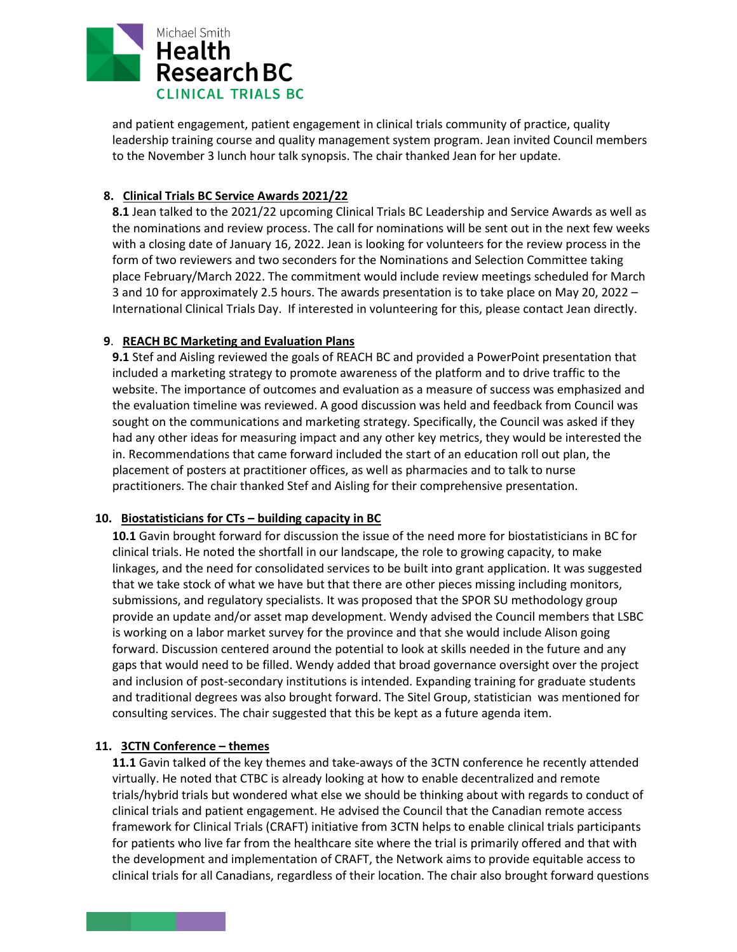

and patient engagement, patient engagement in clinical trials community of practice, quality leadership training course and quality management system program. Jean invited Council members to the November 3 lunch hour talk synopsis. The chair thanked Jean for her update.

#### **8. Clinical Trials BC Service Awards 2021/22**

**8.1** Jean talked to the 2021/22 upcoming Clinical Trials BC Leadership and Service Awards as well as the nominations and review process. The call for nominations will be sent out in the next few weeks with a closing date of January 16, 2022. Jean is looking for volunteers for the review process in the form of two reviewers and two seconders for the Nominations and Selection Committee taking place February/March 2022. The commitment would include review meetings scheduled for March 3 and 10 for approximately 2.5 hours. The awards presentation is to take place on May 20, 2022 – International Clinical Trials Day. If interested in volunteering for this, please contact Jean directly.

# **9**. **REACH BC Marketing and Evaluation Plans**

**9.1** Stef and Aisling reviewed the goals of REACH BC and provided a PowerPoint presentation that included a marketing strategy to promote awareness of the platform and to drive traffic to the website. The importance of outcomes and evaluation as a measure of success was emphasized and the evaluation timeline was reviewed. A good discussion was held and feedback from Council was sought on the communications and marketing strategy. Specifically, the Council was asked if they had any other ideas for measuring impact and any other key metrics, they would be interested the in. Recommendations that came forward included the start of an education roll out plan, the placement of posters at practitioner offices, as well as pharmacies and to talk to nurse practitioners. The chair thanked Stef and Aisling for their comprehensive presentation.

# **10. Biostatisticians for CTs – building capacity in BC**

**10.1** Gavin brought forward for discussion the issue of the need more for biostatisticians in BC for clinical trials. He noted the shortfall in our landscape, the role to growing capacity, to make linkages, and the need for consolidated services to be built into grant application. It was suggested that we take stock of what we have but that there are other pieces missing including monitors, submissions, and regulatory specialists. It was proposed that the SPOR SU methodology group provide an update and/or asset map development. Wendy advised the Council members that LSBC is working on a labor market survey for the province and that she would include Alison going forward. Discussion centered around the potential to look at skills needed in the future and any gaps that would need to be filled. Wendy added that broad governance oversight over the project and inclusion of post-secondary institutions is intended. Expanding training for graduate students and traditional degrees was also brought forward. The Sitel Group, statistician was mentioned for consulting services. The chair suggested that this be kept as a future agenda item.

# **11. 3CTN Conference – themes**

**11.1** Gavin talked of the key themes and take-aways of the 3CTN conference he recently attended virtually. He noted that CTBC is already looking at how to enable decentralized and remote trials/hybrid trials but wondered what else we should be thinking about with regards to conduct of clinical trials and patient engagement. He advised the Council that the Canadian remote access framework for Clinical Trials (CRAFT) initiative from 3CTN helps to enable clinical trials participants for patients who live far from the healthcare site where the trial is primarily offered and that with the development and implementation of CRAFT, the Network aims to provide equitable access to clinical trials for all Canadians, regardless of their location. The chair also brought forward questions